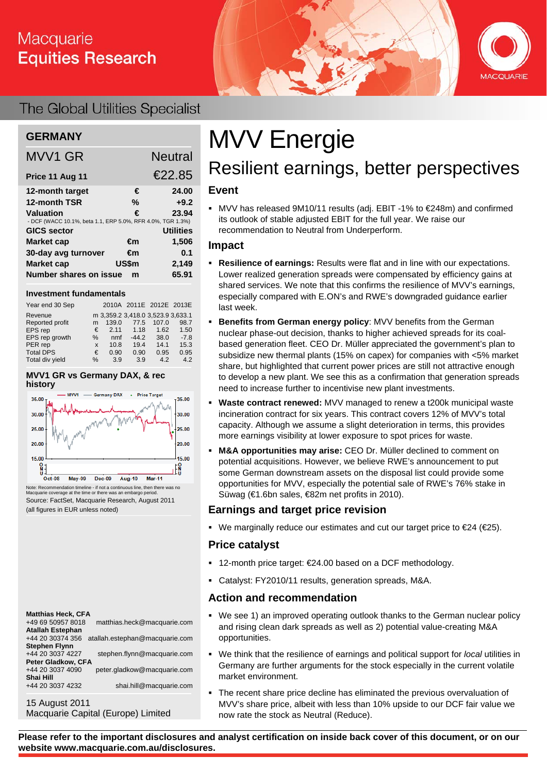## Macquarie **Equities Research**



## The Global Utilities Specialist

## **GERMANY**

| MVV1 GR                                                                 |              | <b>Neutral</b>   |
|-------------------------------------------------------------------------|--------------|------------------|
| Price 11 Aug 11                                                         |              | €22.85           |
| 12-month target                                                         | €            | 24.00            |
| 12-month TSR                                                            | %            | $+9.2$           |
| Valuation<br>- DCF (WACC 10.1%, beta 1.1, ERP 5.0%, RFR 4.0%, TGR 1.3%) | €            | 23.94            |
| <b>GICS sector</b>                                                      |              | <b>Utilities</b> |
| <b>Market cap</b>                                                       | €m           | 1,506            |
| 30-day avg turnover                                                     | €m           | 0.1              |
| <b>Market cap</b>                                                       | <b>US\$m</b> | 2,149            |
| <b>Number shares on issue</b>                                           |              | 65.91            |

#### **Investment fundamentals**

| Year end 30 Sep  |      |                                   |         |       | 2010A 2011E 2012E 2013E |
|------------------|------|-----------------------------------|---------|-------|-------------------------|
| Revenue          |      | m 3,359.2 3,418.0 3,523.9 3,633.1 |         |       |                         |
| Reported profit  | m    | 139.0                             | 77.5    | 107.0 | 98.7                    |
| EPS rep          | €    | 2.11                              | 1.18    | 1.62  | 1.50                    |
| EPS rep growth   | ℅    | nmf                               | $-44.2$ | 38.0  | $-7.8$                  |
| PER rep          | x    | 10.8                              | 19.4    | 141   | 15.3                    |
| <b>Total DPS</b> | €    | 0.90                              | 0.90    | 0.95  | 0.95                    |
| Total div yield  | $\%$ | 3.9                               | 3.9     | 42    | 42                      |

#### **MVV1 GR vs Germany DAX, & rec history**



Note: Recommendation timeline - if not a continuous line, then there was no Macquarie coverage at the time or there was an embargo period. Source: FactSet, Macquarie Research, August 2011 (all figures in EUR unless noted)



stephen.flynn@macquarie.com **Peter Gladkow, CFA** +44 20 3037 4090 peter.gladkow@macquarie.com **Shai Hill**<br>+44 20 3037 4232 shai.hill@macquarie.com

15 August 2011 Macquarie Capital (Europe) Limited

# MVV Energie

## Resilient earnings, better perspectives

### **Event**

MVV has released 9M10/11 results (adj. EBIT -1% to  $\epsilon$ 248m) and confirmed its outlook of stable adjusted EBIT for the full year. We raise our recommendation to Neutral from Underperform.

### **Impact**

- **Resilience of earnings:** Results were flat and in line with our expectations. Lower realized generation spreads were compensated by efficiency gains at shared services. We note that this confirms the resilience of MVV's earnings, especially compared with E.ON's and RWE's downgraded guidance earlier last week.
- **Benefits from German energy policy**: MVV benefits from the German nuclear phase-out decision, thanks to higher achieved spreads for its coalbased generation fleet. CEO Dr. Müller appreciated the government's plan to subsidize new thermal plants (15% on capex) for companies with <5% market share, but highlighted that current power prices are still not attractive enough to develop a new plant. We see this as a confirmation that generation spreads need to increase further to incentivise new plant investments.
- **Waste contract renewed:** MVV managed to renew a t200k municipal waste incineration contract for six years. This contract covers 12% of MVV's total capacity. Although we assume a slight deterioration in terms, this provides more earnings visibility at lower exposure to spot prices for waste.
- **M&A opportunities may arise:** CEO Dr. Müller declined to comment on potential acquisitions. However, we believe RWE's announcement to put some German downstream assets on the disposal list could provide some opportunities for MVV, especially the potential sale of RWE's 76% stake in Süwag (€1.6bn sales, €82m net profits in 2010).

## **Earnings and target price revision**

■ We marginally reduce our estimates and cut our target price to  $\in 24$  ( $\in \infty$ 5).

## **Price catalyst**

- 12-month price target: €24.00 based on a DCF methodology.
- Catalyst: FY2010/11 results, generation spreads, M&A.

## **Action and recommendation**

- We see 1) an improved operating outlook thanks to the German nuclear policy and rising clean dark spreads as well as 2) potential value-creating M&A opportunities.
- We think that the resilience of earnings and political support for *local* utilities in Germany are further arguments for the stock especially in the current volatile market environment.
- The recent share price decline has eliminated the previous overvaluation of MVV's share price, albeit with less than 10% upside to our DCF fair value we now rate the stock as Neutral (Reduce).

**Please refer to the important disclosures and analyst certification on inside back cover of this document, or on our website www.macquarie.com.au/disclosures.**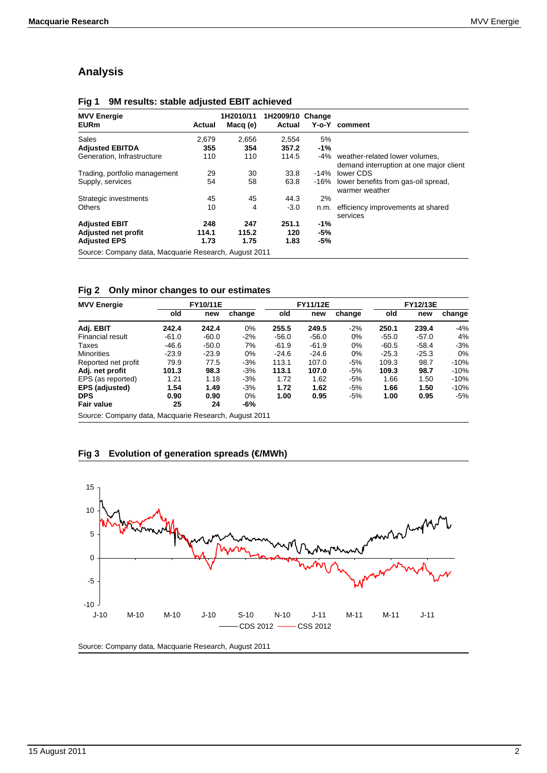## **Analysis**

| <b>MVV Energie</b><br><b>EURm</b>                     | Actual | 1H2010/11<br>Macq (e) | 1H2009/10 Change<br>Actual |        | Y-o-Y comment                                                             |
|-------------------------------------------------------|--------|-----------------------|----------------------------|--------|---------------------------------------------------------------------------|
| Sales                                                 | 2.679  | 2.656                 | 2.554                      | 5%     |                                                                           |
| <b>Adjusted EBITDA</b>                                | 355    | 354                   | 357.2                      | $-1\%$ |                                                                           |
| Generation, Infrastructure                            | 110    | 110                   | 114.5                      | -4%    | weather-related lower volumes.<br>demand interruption at one major client |
| Trading, portfolio management                         | 29     | 30                    | 33.8                       | -14%   | lower CDS                                                                 |
| Supply, services                                      | 54     | 58                    | 63.8                       |        | -16% lower benefits from gas-oil spread,<br>warmer weather                |
| Strategic investments                                 | 45     | 45                    | 44.3                       | 2%     |                                                                           |
| <b>Others</b>                                         | 10     | 4                     | $-3.0$                     | n.m.   | efficiency improvements at shared<br>services                             |
| <b>Adjusted EBIT</b>                                  | 248    | 247                   | 251.1                      | $-1%$  |                                                                           |
| <b>Adjusted net profit</b>                            | 114.1  | 115.2                 | 120                        | -5%    |                                                                           |
| <b>Adjusted EPS</b>                                   | 1.73   | 1.75                  | 1.83                       | -5%    |                                                                           |
| Source: Company data, Macquarie Research, August 2011 |        |                       |                            |        |                                                                           |

|  |  |  |  |  | Fig 2 Only minor changes to our estimates |
|--|--|--|--|--|-------------------------------------------|
|--|--|--|--|--|-------------------------------------------|

| <b>MVV Energie</b>                                    | <b>FY10/11E</b> |         |        |         | <b>FY11/12E</b> |        |         | <b>FY12/13E</b> |        |  |
|-------------------------------------------------------|-----------------|---------|--------|---------|-----------------|--------|---------|-----------------|--------|--|
|                                                       | old             | new     | change | old     | new             | change | old     | new             | change |  |
| Adj. EBIT                                             | 242.4           | 242.4   | 0%     | 255.5   | 249.5           | $-2%$  | 250.1   | 239.4           | -4%    |  |
| Financial result                                      | $-61.0$         | $-60.0$ | $-2%$  | $-56.0$ | $-56.0$         | 0%     | $-55.0$ | $-57.0$         | 4%     |  |
| Taxes                                                 | $-46.6$         | $-50.0$ | 7%     | $-61.9$ | $-61.9$         | 0%     | $-60.5$ | $-58.4$         | -3%    |  |
| <b>Minorities</b>                                     | $-23.9$         | $-23.9$ | 0%     | $-24.6$ | $-24.6$         | 0%     | $-25.3$ | $-25.3$         | 0%     |  |
| Reported net profit                                   | 79.9            | 77.5    | $-3%$  | 113.1   | 107.0           | -5%    | 109.3   | 98.7            | $-10%$ |  |
| Adj. net profit                                       | 101.3           | 98.3    | $-3%$  | 113.1   | 107.0           | $-5%$  | 109.3   | 98.7            | $-10%$ |  |
| EPS (as reported)                                     | 1.21            | 1.18    | $-3%$  | 1.72    | 1.62            | $-5%$  | 1.66    | 1.50            | $-10%$ |  |
| EPS (adjusted)                                        | 1.54            | 1.49    | $-3%$  | 1.72    | 1.62            | $-5%$  | 1.66    | 1.50            | $-10%$ |  |
| <b>DPS</b>                                            | 0.90            | 0.90    | $0\%$  | 1.00    | 0.95            | $-5%$  | 1.00    | 0.95            | $-5%$  |  |
| <b>Fair value</b>                                     | 25              | 24      | -6%    |         |                 |        |         |                 |        |  |
| Source: Company data, Macquarie Research, August 2011 |                 |         |        |         |                 |        |         |                 |        |  |

## **Fig 3** Evolution of generation spreads (€/MWh)



Source: Company data, Macquarie Research, August 2011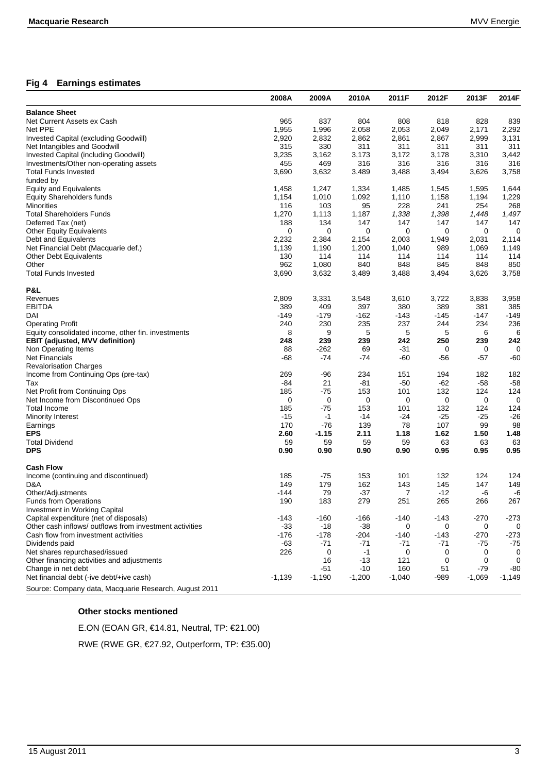## **Fig 4 Earnings estimates**

|                                                         | 2008A    | 2009A    | 2010A       | 2011F       | 2012F  | 2013F    | 2014F    |
|---------------------------------------------------------|----------|----------|-------------|-------------|--------|----------|----------|
| <b>Balance Sheet</b>                                    |          |          |             |             |        |          |          |
| Net Current Assets ex Cash                              | 965      | 837      | 804         | 808         | 818    | 828      | 839      |
| Net PPE                                                 | 1,955    | 1,996    | 2,058       | 2,053       | 2,049  | 2,171    | 2,292    |
| Invested Capital (excluding Goodwill)                   | 2,920    | 2,832    | 2,862       | 2,861       | 2,867  | 2,999    | 3,131    |
| Net Intangibles and Goodwill                            | 315      | 330      | 311         | 311         | 311    | 311      | 311      |
| Invested Capital (including Goodwill)                   | 3,235    | 3,162    | 3,173       | 3,172       | 3,178  | 3,310    | 3,442    |
| Investments/Other non-operating assets                  | 455      | 469      | 316         | 316         | 316    | 316      | 316      |
| <b>Total Funds Invested</b>                             | 3,690    | 3,632    | 3,489       | 3,488       | 3,494  | 3,626    | 3,758    |
| funded by                                               |          |          |             |             |        |          |          |
| <b>Equity and Equivalents</b>                           | 1,458    | 1,247    | 1,334       | 1,485       | 1,545  | 1,595    | 1,644    |
| <b>Equity Shareholders funds</b>                        | 1,154    | 1,010    | 1,092       | 1,110       | 1,158  | 1,194    | 1,229    |
| <b>Minorities</b>                                       | 116      | 103      | 95          | 228         | 241    | 254      | 268      |
| <b>Total Shareholders Funds</b>                         | 1,270    | 1,113    | 1,187       | 1,338       | 1,398  | 1,448    | 1,497    |
| Deferred Tax (net)                                      | 188      | 134      | 147         | 147         | 147    | 147      | 147      |
| <b>Other Equity Equivalents</b>                         | 0        | 0        | 0           | 0           | 0      | 0        | 0        |
| Debt and Equivalents                                    | 2,232    | 2,384    | 2,154       | 2,003       | 1,949  | 2,031    | 2,114    |
| Net Financial Debt (Macquarie def.)                     | 1,139    | 1,190    | 1,200       | 1,040       | 989    | 1,069    | 1,149    |
| <b>Other Debt Equivalents</b>                           | 130      | 114      | 114         | 114         | 114    | 114      | 114      |
| Other                                                   | 962      | 1,080    | 840         | 848         | 845    | 848      | 850      |
| <b>Total Funds Invested</b>                             | 3,690    | 3,632    | 3,489       | 3,488       | 3,494  | 3,626    | 3,758    |
| P&L                                                     |          |          |             |             |        |          |          |
| Revenues                                                | 2,809    | 3,331    | 3,548       | 3,610       | 3,722  | 3,838    | 3,958    |
| <b>EBITDA</b>                                           | 389      | 409      | 397         | 380         | 389    | 381      | 385      |
| DAI                                                     | -149     | $-179$   | -162        | -143        | $-145$ | -147     | -149     |
| <b>Operating Profit</b>                                 | 240      | 230      | 235         | 237         | 244    | 234      | 236      |
| Equity consolidated income, other fin. investments      | 8        | 9        | 5           | 5           | 5      | 6        | 6        |
| <b>EBIT (adjusted, MVV definition)</b>                  | 248      | 239      | 239         | 242         | 250    | 239      | 242      |
| Non Operating Items                                     | 88       | $-262$   | 69          | $-31$       | 0      | 0        | 0        |
| <b>Net Financials</b>                                   | -68      | $-74$    | -74         | $-60$       | -56    | -57      | $-60$    |
| <b>Revalorisation Charges</b>                           |          |          |             |             |        |          |          |
| Income from Continuing Ops (pre-tax)                    | 269      | -96      | 234         | 151         | 194    | 182      | 182      |
| Tax                                                     | -84      | 21       | -81         | $-50$       | $-62$  | -58      | $-58$    |
| Net Profit from Continuing Ops                          | 185      | $-75$    | 153         | 101         | 132    | 124      | 124      |
| Net Income from Discontinued Ops                        | 0        | 0        | $\mathbf 0$ | $\mathbf 0$ | 0      | 0        | 0        |
| Total Income                                            | 185      | $-75$    | 153         | 101         | 132    | 124      | 124      |
| <b>Minority Interest</b>                                | $-15$    | $-1$     | -14         | -24         | $-25$  | $-25$    | $-26$    |
| Earnings                                                | 170      | $-76$    | 139         | 78          | 107    | 99       | 98       |
| <b>EPS</b>                                              | 2.60     | $-1.15$  | 2.11        | 1.18        | 1.62   | 1.50     | 1.48     |
| Total Dividend                                          | 59       | 59       | 59          | 59          | 63     | 63       | 63       |
| <b>DPS</b>                                              | 0.90     | 0.90     | 0.90        | 0.90        | 0.95   | 0.95     | 0.95     |
| <b>Cash Flow</b>                                        |          |          |             |             |        |          |          |
| Income (continuing and discontinued)                    | 185      | $-75$    | 153         | 101         | 132    | 124      | 124      |
| D&A                                                     | 149      | 179      | 162         | 143         | 145    | 147      | 149      |
| Other/Adjustments                                       | $-144$   | 79       | $-37$       | 7           | $-12$  | -6       | -6       |
| Funds from Operations                                   | 190      | 183      | 279         | 251         | 265    | 266      | 267      |
| Investment in Working Capital                           |          |          |             |             |        |          |          |
| Capital expenditure (net of disposals)                  | -143     | $-160$   | -166        | $-140$      | -143   | -270     | $-273$   |
| Other cash inflows/ outflows from investment activities | $-33$    | $-18$    | $-38$       | 0           | 0      | 0        | 0        |
| Cash flow from investment activities                    | $-176$   | $-178$   | $-204$      | -140        | $-143$ | $-270$   | -273     |
| Dividends paid                                          | $-63$    | -71      | -71         | -71         | -71    | -75      | -75      |
| Net shares repurchased/issued                           | 226      | 0        | $-1$        | 0           | 0      | 0        | 0        |
| Other financing activities and adjustments              |          | 16       | -13         | 121         | 0      | 0        | 0        |
| Change in net debt                                      |          | $-51$    | -10         | 160         | 51     | -79      | -80      |
| Net financial debt (-ive debt/+ive cash)                | $-1,139$ | $-1,190$ | $-1,200$    | $-1,040$    | -989   | $-1,069$ | $-1,149$ |
| Source: Company data, Macquarie Research, August 2011   |          |          |             |             |        |          |          |

### **Other stocks mentioned**

E.ON (EOAN GR, €14.81, Neutral, TP: €21.00)

RWE (RWE GR, €27.92, Outperform, TP: €35.00)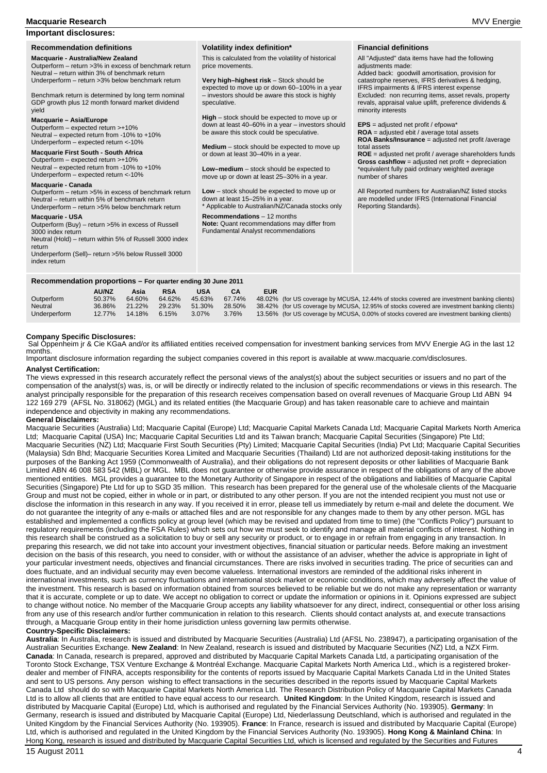#### **Macquarie Research** MVV Energie

### **Important disclosures:**

**Macquarie - Australia/New Zealand**  Outperform – return >3% in excess of benchmark return Neutral – return within 3% of benchmark return Underperform – return >3% below benchmark return

Benchmark return is determined by long term nominal GDP growth plus 12 month forward market dividend yield

#### **Macquarie – Asia/Europe**

Outperform – expected return >+10% Neutral – expected return from -10% to +10% Underperform – expected return <-10%

#### **Macquarie First South - South Africa**

Outperform – expected return >+10% Neutral – expected return from -10% to +10% Underperform – expected return <-10%

#### **Macquarie - Canada**

Outperform – return >5% in excess of benchmark return Neutral – return within 5% of benchmark return Underperform – return >5% below benchmark return

#### **Macquarie - USA**

Outperform (Buy) – return >5% in excess of Russell 3000 index return Neutral (Hold) – return within 5% of Russell 3000 index return

Underperform (Sell)– return >5% below Russell 3000 index return

#### **Volatility index definition\***

This is calculated from the volatility of historical price movements.

**Very high–highest risk** – Stock should be expected to move up or down 60–100% in a year – investors should be aware this stock is highly speculative.

**High** – stock should be expected to move up or down at least 40–60% in a year – investors should be aware this stock could be speculative.

**Medium** – stock should be expected to move up or down at least 30–40% in a year.

**Low–medium** – stock should be expected to move up or down at least 25–30% in a year.

**Low** – stock should be expected to move up or down at least 15–25% in a year. \* Applicable to Australian/NZ/Canada stocks only

**Recommendations** – 12 months **Note:** Quant recommendations may differ from Fundamental Analyst recommendations

**Financial definitions** 

All "Adjusted" data items have had the following adjustments made:

Added back: goodwill amortisation, provision for catastrophe reserves, IFRS derivatives & hedging, IFRS impairments & IFRS interest expense Excluded: non recurring items, asset revals, property revals, appraisal value uplift, preference dividends & minority interests

**EPS** = adjusted net profit / efpowa\*

Reporting Standards).

**ROA** = adjusted ebit / average total assets **ROA Banks/Insurance** = adjusted net profit /average total assets **ROE** = adjusted net profit / average shareholders funds **Gross cashflow** = adjusted net profit + depreciation \*equivalent fully paid ordinary weighted average

number of shares All Reported numbers for Australian/NZ listed stocks are modelled under IFRS (International Financial

#### **Recommendation proportions – For quarter ending 30 June 2011**

|              | AU/NZ     | Asia      | <b>RSA</b> | <b>USA</b> | CA     | EUR |                                                                                            |
|--------------|-----------|-----------|------------|------------|--------|-----|--------------------------------------------------------------------------------------------|
| Outperform   | 50.37%    | 64.60%    | 64.62%     | 45.63%     | 67.74% |     | 48.02% (for US coverage by MCUSA, 12.44% of stocks covered are investment banking clients) |
| Neutral      | 36.86%    | $21.22\%$ | 29.23%     | 51.30%     | 28.50% |     | 38.42% (for US coverage by MCUSA, 12.95% of stocks covered are investment banking clients) |
| Underperform | $12.77\%$ | 14.18%    | 6.15%      | $3.07\%$   | 3.76%  |     | 13.56% (for US coverage by MCUSA, 0.00% of stocks covered are investment banking clients)  |

#### **Company Specific Disclosures:**

 Sal Oppenheim jr & Cie KGaA and/or its affiliated entities received compensation for investment banking services from MVV Energie AG in the last 12 months.

Important disclosure information regarding the subject companies covered in this report is available at www.macquarie.com/disclosures.

#### **Analyst Certification:**

The views expressed in this research accurately reflect the personal views of the analyst(s) about the subject securities or issuers and no part of the compensation of the analyst(s) was, is, or will be directly or indirectly related to the inclusion of specific recommendations or views in this research. The analyst principally responsible for the preparation of this research receives compensation based on overall revenues of Macquarie Group Ltd ABN 94 122 169 279 (AFSL No. 318062) (MGL) and its related entities (the Macquarie Group) and has taken reasonable care to achieve and maintain independence and objectivity in making any recommendations.

#### **General Disclaimers:**

Macquarie Securities (Australia) Ltd; Macquarie Capital (Europe) Ltd; Macquarie Capital Markets Canada Ltd; Macquarie Capital Markets North America Ltd; Macquarie Capital (USA) Inc; Macquarie Capital Securities Ltd and its Taiwan branch; Macquarie Capital Securities (Singapore) Pte Ltd; Macquarie Securities (NZ) Ltd; Macquarie First South Securities (Pty) Limited; Macquarie Capital Securities (India) Pvt Ltd; Macquarie Capital Securities (Malaysia) Sdn Bhd; Macquarie Securities Korea Limited and Macquarie Securities (Thailand) Ltd are not authorized deposit-taking institutions for the purposes of the Banking Act 1959 (Commonwealth of Australia), and their obligations do not represent deposits or other liabilities of Macquarie Bank Limited ABN 46 008 583 542 (MBL) or MGL. MBL does not guarantee or otherwise provide assurance in respect of the obligations of any of the above mentioned entities. MGL provides a guarantee to the Monetary Authority of Singapore in respect of the obligations and liabilities of Macquarie Capital Securities (Singapore) Pte Ltd for up to SGD 35 million. This research has been prepared for the general use of the wholesale clients of the Macquarie Group and must not be copied, either in whole or in part, or distributed to any other person. If you are not the intended recipient you must not use or disclose the information in this research in any way. If you received it in error, please tell us immediately by return e-mail and delete the document. We do not guarantee the integrity of any e-mails or attached files and are not responsible for any changes made to them by any other person. MGL has established and implemented a conflicts policy at group level (which may be revised and updated from time to time) (the "Conflicts Policy") pursuant to regulatory requirements (including the FSA Rules) which sets out how we must seek to identify and manage all material conflicts of interest. Nothing in this research shall be construed as a solicitation to buy or sell any security or product, or to engage in or refrain from engaging in any transaction. In preparing this research, we did not take into account your investment objectives, financial situation or particular needs. Before making an investment decision on the basis of this research, you need to consider, with or without the assistance of an adviser, whether the advice is appropriate in light of your particular investment needs, objectives and financial circumstances. There are risks involved in securities trading. The price of securities can and does fluctuate, and an individual security may even become valueless. International investors are reminded of the additional risks inherent in international investments, such as currency fluctuations and international stock market or economic conditions, which may adversely affect the value of the investment. This research is based on information obtained from sources believed to be reliable but we do not make any representation or warranty that it is accurate, complete or up to date. We accept no obligation to correct or update the information or opinions in it. Opinions expressed are subject to change without notice. No member of the Macquarie Group accepts any liability whatsoever for any direct, indirect, consequential or other loss arising from any use of this research and/or further communication in relation to this research. Clients should contact analysts at, and execute transactions through, a Macquarie Group entity in their home jurisdiction unless governing law permits otherwise. **Country-Specific Disclaimers:** 

**Australia**: In Australia, research is issued and distributed by Macquarie Securities (Australia) Ltd (AFSL No. 238947), a participating organisation of the Australian Securities Exchange. **New Zealand**: In New Zealand, research is issued and distributed by Macquarie Securities (NZ) Ltd, a NZX Firm. **Canada**: In Canada, research is prepared, approved and distributed by Macquarie Capital Markets Canada Ltd, a participating organisation of the Toronto Stock Exchange, TSX Venture Exchange & Montréal Exchange. Macquarie Capital Markets North America Ltd., which is a registered brokerdealer and member of FINRA, accepts responsibility for the contents of reports issued by Macquarie Capital Markets Canada Ltd in the United States and sent to US persons. Any person wishing to effect transactions in the securities described in the reports issued by Macquarie Capital Markets Canada Ltd should do so with Macquarie Capital Markets North America Ltd. The Research Distribution Policy of Macquarie Capital Markets Canada Ltd is to allow all clients that are entitled to have equal access to our research. **United Kingdom**: In the United Kingdom, research is issued and distributed by Macquarie Capital (Europe) Ltd, which is authorised and regulated by the Financial Services Authority (No. 193905). **Germany**: In Germany, research is issued and distributed by Macquarie Capital (Europe) Ltd, Niederlassung Deutschland, which is authorised and regulated in the United Kingdom by the Financial Services Authority (No. 193905). **France**: In France, research is issued and distributed by Macquarie Capital (Europe) Ltd, which is authorised and regulated in the United Kingdom by the Financial Services Authority (No. 193905). **Hong Kong & Mainland China**: In Hong Kong, research is issued and distributed by Macquarie Capital Securities Ltd, which is licensed and regulated by the Securities and Futures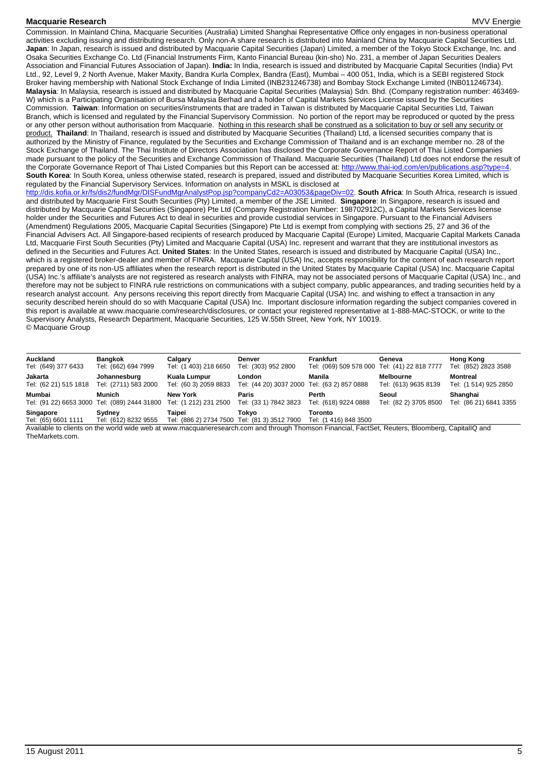#### **Macquarie Research** MVV Energie

Commission. In Mainland China, Macquarie Securities (Australia) Limited Shanghai Representative Office only engages in non-business operational activities excluding issuing and distributing research. Only non-A share research is distributed into Mainland China by Macquarie Capital Securities Ltd. **Japan**: In Japan, research is issued and distributed by Macquarie Capital Securities (Japan) Limited, a member of the Tokyo Stock Exchange, Inc. and Osaka Securities Exchange Co. Ltd (Financial Instruments Firm, Kanto Financial Bureau (kin-sho) No. 231, a member of Japan Securities Dealers Association and Financial Futures Association of Japan). **India:** In India, research is issued and distributed by Macquarie Capital Securities (India) Pvt Ltd., 92, Level 9, 2 North Avenue, Maker Maxity, Bandra Kurla Complex, Bandra (East), Mumbai – 400 051, India, which is a SEBI registered Stock Broker having membership with National Stock Exchange of India Limited (INB231246738) and Bombay Stock Exchange Limited (INB011246734). **Malaysia**: In Malaysia, research is issued and distributed by Macquarie Capital Securities (Malaysia) Sdn. Bhd. (Company registration number: 463469- W) which is a Participating Organisation of Bursa Malaysia Berhad and a holder of Capital Markets Services License issued by the Securities Commission. **Taiwan**: Information on securities/instruments that are traded in Taiwan is distributed by Macquarie Capital Securities Ltd, Taiwan Branch, which is licensed and regulated by the Financial Supervisory Commission. No portion of the report may be reproduced or quoted by the press or any other person without authorisation from Macquarie. Nothing in this research shall be construed as a solicitation to buy or sell any security or product. Thailand: In Thailand, research is issued and distributed by Macquarie Securities (Thailand) Ltd, a licensed securities company that is authorized by the Ministry of Finance, regulated by the Securities and Exchange Commission of Thailand and is an exchange member no. 28 of the Stock Exchange of Thailand. The Thai Institute of Directors Association has disclosed the Corporate Governance Report of Thai Listed Companies made pursuant to the policy of the Securities and Exchange Commission of Thailand. Macquarie Securities (Thailand) Ltd does not endorse the result of the Corporate Governance Report of Thai Listed Companies but this Report can be accessed at: http://www.thai-iod.com/en/publications.asp?type=4. **South Korea**: In South Korea, unless otherwise stated, research is prepared, issued and distributed by Macquarie Securities Korea Limited, which is regulated by the Financial Supervisory Services. Information on analysts in MSKL is disclosed at http://dis.kofia.or.kr/fs/dis2/fundMgr/DISFundMgrAnalystPop.jsp?companyCd2=A03053&pageDiv=02. **South Africa**: In South Africa, research is issued and distributed by Macquarie First South Securities (Pty) Limited, a member of the JSE Limited. **Singapore**: In Singapore, research is issued and distributed by Macquarie Capital Securities (Singapore) Pte Ltd (Company Registration Number: 198702912C), a Capital Markets Services license holder under the Securities and Futures Act to deal in securities and provide custodial services in Singapore. Pursuant to the Financial Advisers (Amendment) Regulations 2005, Macquarie Capital Securities (Singapore) Pte Ltd is exempt from complying with sections 25, 27 and 36 of the Financial Advisers Act. All Singapore-based recipients of research produced by Macquarie Capital (Europe) Limited, Macquarie Capital Markets Canada

Ltd, Macquarie First South Securities (Pty) Limited and Macquarie Capital (USA) Inc. represent and warrant that they are institutional investors as defined in the Securities and Futures Act. **United States**: In the United States, research is issued and distributed by Macquarie Capital (USA) Inc., which is a registered broker-dealer and member of FINRA. Macquarie Capital (USA) Inc, accepts responsibility for the content of each research report prepared by one of its non-US affiliates when the research report is distributed in the United States by Macquarie Capital (USA) Inc. Macquarie Capital (USA) Inc.'s affiliate's analysts are not registered as research analysts with FINRA, may not be associated persons of Macquarie Capital (USA) Inc., and therefore may not be subject to FINRA rule restrictions on communications with a subject company, public appearances, and trading securities held by a research analyst account. Any persons receiving this report directly from Macquarie Capital (USA) Inc. and wishing to effect a transaction in any security described herein should do so with Macquarie Capital (USA) Inc. Important disclosure information regarding the subject companies covered in this report is available at www.macquarie.com/research/disclosures, or contact your registered representative at 1-888-MAC-STOCK, or write to the Supervisory Analysts, Research Department, Macquarie Securities, 125 W.55th Street, New York, NY 10019.

|  | D Macquarie Group |  |
|--|-------------------|--|

| Auckland                                     | <b>Bangkok</b>                 | Calgary                                                | Denver                                      | Frankfurt                                    | Geneva                | <b>Hong Kong</b>       |
|----------------------------------------------|--------------------------------|--------------------------------------------------------|---------------------------------------------|----------------------------------------------|-----------------------|------------------------|
| Tel: (649) 377 6433                          | Tel: (662) 694 7999            | Tel: (1 403) 218 6650                                  | Tel: (303) 952 2800                         | Tel: (069) 509 578 000 Tel: (41) 22 818 7777 |                       | Tel: (852) 2823 3588   |
| Jakarta                                      | Johannesburg                   | Kuala Lumpur                                           | London                                      | Manila                                       | Melbourne             | <b>Montreal</b>        |
| Tel: (62 21) 515 1818                        | Tel: (2711) 583 2000           | Tel: (60 3) 2059 8833                                  | Tel: (44 20) 3037 2000 Tel: (63 2) 857 0888 |                                              | Tel: (613) 9635 8139  | Tel: (1 514) 925 2850  |
| Mumbai                                       | Munich                         | <b>New York</b>                                        | Paris                                       | Perth                                        | Seoul                 | Shanghai               |
| Tel: (91 22) 6653 3000 Tel: (089) 2444 31800 |                                | Tel: (1 212) 231 2500                                  | Tel: (33 1) 7842 3823                       | Tel: (618) 9224 0888                         | Tel: (82 2) 3705 8500 | Tel: (86 21) 6841 3355 |
| Singapore<br>Tel: (65) 6601 1111             | Sydney<br>Tel: (612) 8232 9555 | Taipei<br>Tel: (886 2) 2734 7500 Tel: (81 3) 3512 7900 | Tokvo                                       | Toronto<br>Tel: (1 416) 848 3500             |                       |                        |

Available to clients on the world wide web at www.macquarieresearch.com and through Thomson Financial, FactSet, Reuters, Bloomberg, CapitalIQ and TheMarkets.com.